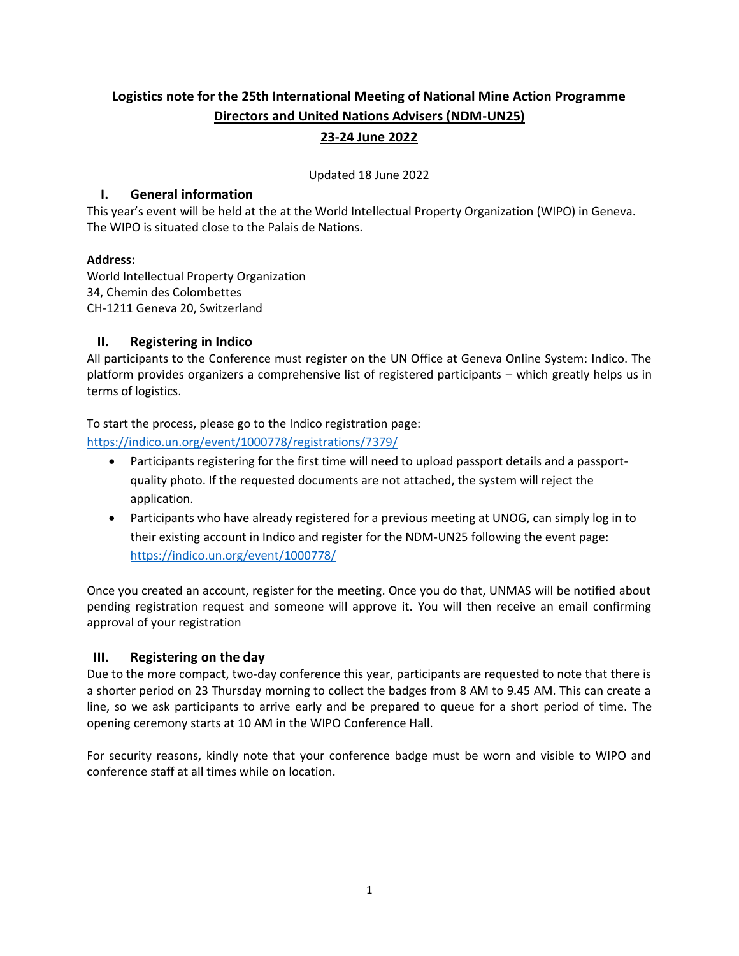# **Logistics note for the 25th International Meeting of National Mine Action Programme Directors and United Nations Advisers (NDM-UN25) 23-24 June 2022**

Updated 18 June 2022

### **I. General information**

This year's event will be held at the at the World Intellectual Property Organization (WIPO) in Geneva. The WIPO is situated close to the Palais de Nations.

### **Address:**

World Intellectual Property Organization 34, Chemin des Colombettes CH-1211 Geneva 20, Switzerland

# **II. Registering in Indico**

All participants to the Conference must register on the UN Office at Geneva Online System: Indico. The platform provides organizers a comprehensive list of registered participants – which greatly helps us in terms of logistics.

To start the process, please go to the Indico registration page:

<https://indico.un.org/event/1000778/registrations/7379/>

- Participants registering for the first time will need to upload passport details and a passportquality photo. If the requested documents are not attached, the system will reject the application.
- Participants who have already registered for a previous meeting at UNOG, can simply log in to their existing account in Indico and register for the NDM-UN25 following the event page: <https://indico.un.org/event/1000778/>

Once you created an account, register for the meeting. Once you do that, UNMAS will be notified about pending registration request and someone will approve it. You will then receive an email confirming approval of your registration

# **III. Registering on the day**

Due to the more compact, two-day conference this year, participants are requested to note that there is a shorter period on 23 Thursday morning to collect the badges from 8 AM to 9.45 AM. This can create a line, so we ask participants to arrive early and be prepared to queue for a short period of time. The opening ceremony starts at 10 AM in the WIPO Conference Hall.

For security reasons, kindly note that your conference badge must be worn and visible to WIPO and conference staff at all times while on location.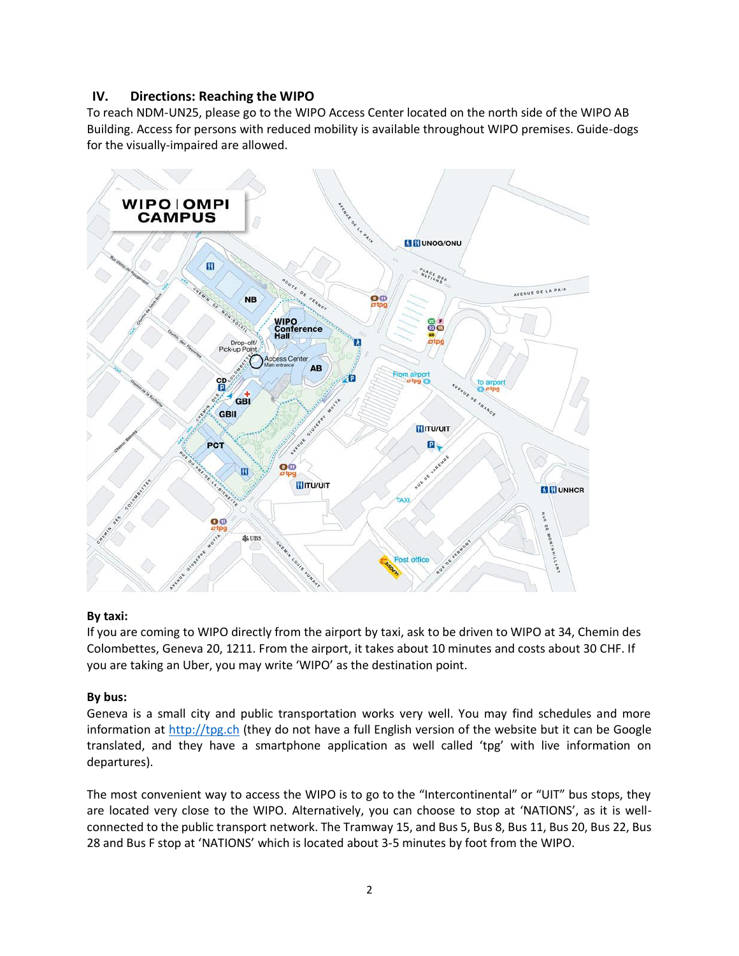### **IV. Directions: Reaching the WIPO**

To reach NDM-UN25, please go to the WIPO Access Center located on the north side of the WIPO AB Building. Access for persons with reduced mobility is available throughout WIPO premises. Guide-dogs for the visually-impaired are allowed.



### **By taxi:**

If you are coming to WIPO directly from the airport by taxi, ask to be driven to WIPO at 34, Chemin des Colombettes, Geneva 20, 1211. From the airport, it takes about 10 minutes and costs about 30 CHF. If you are taking an Uber, you may write 'WIPO' as the destination point.

### **By bus:**

Geneva is a small city and public transportation works very well. You may find schedules and more information at [http://tpg.ch](http://tpg.ch/) (they do not have a full English version of the website but it can be Google translated, and they have a smartphone application as well called 'tpg' with live information on departures).

The most convenient way to access the WIPO is to go to the "Intercontinental" or "UIT" bus stops, they are located very close to the WIPO. Alternatively, you can choose to stop at 'NATIONS', as it is wellconnected to the public transport network. The Tramway 15, and Bus 5, Bus 8, Bus 11, Bus 20, Bus 22, Bus 28 and Bus F stop at 'NATIONS' which is located about 3-5 minutes by foot from the WIPO.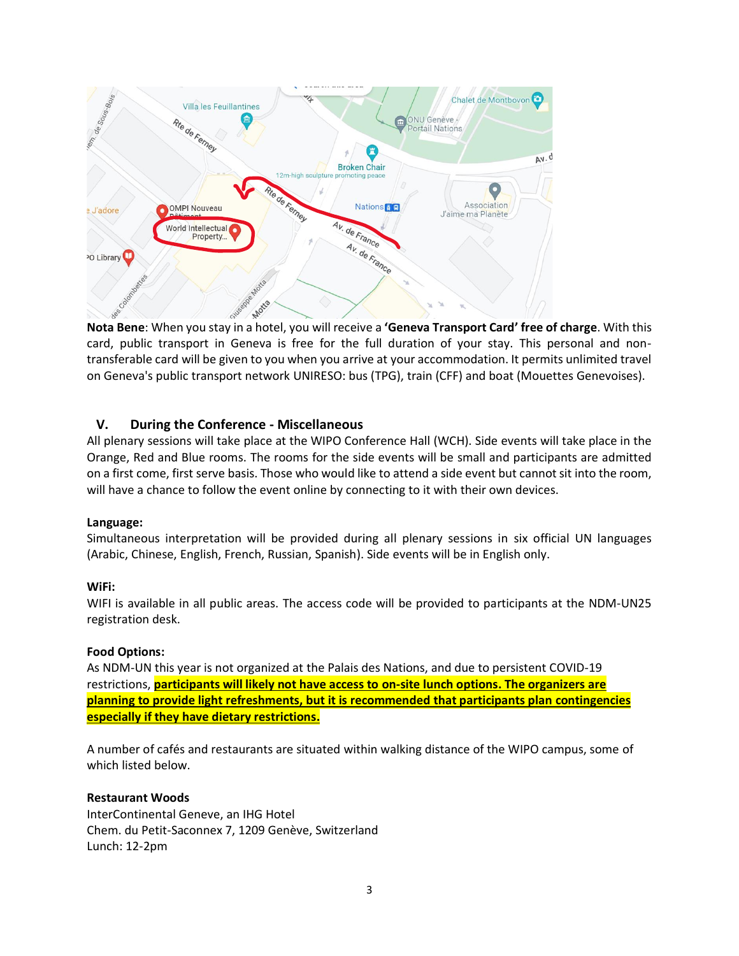

**Nota Bene**: When you stay in a hotel, you will receive a **'[Geneva Transport Card](https://www.geneve.com/en/good-to-know/how-to-get-around/)' free of charge**. With this card, public transport in Geneva is free for the full duration of your stay. This personal and nontransferable card will be given to you when you arrive at your accommodation. It permits unlimited travel on Geneva's public transport network UNIRESO: bus (TPG), train (CFF) and boat (Mouettes Genevoises).

### **V. During the Conference - Miscellaneous**

All plenary sessions will take place at the WIPO Conference Hall (WCH). Side events will take place in the Orange, Red and Blue rooms. The rooms for the side events will be small and participants are admitted on a first come, first serve basis. Those who would like to attend a side event but cannot sit into the room, will have a chance to follow the event online by connecting to it with their own devices.

### **Language:**

Simultaneous interpretation will be provided during all plenary sessions in six official UN languages (Arabic, Chinese, English, French, Russian, Spanish). Side events will be in English only.

### **WiFi:**

WIFI is available in all public areas. The access code will be provided to participants at the NDM-UN25 registration desk.

#### **Food Options:**

As NDM-UN this year is not organized at the Palais des Nations, and due to persistent COVID-19 restrictions, **participants will likely not have access to on-site lunch options. The organizers are planning to provide light refreshments, but it is recommended that participants plan contingencies especially if they have dietary restrictions.**

A number of cafés and restaurants are situated within walking distance of the WIPO campus, some of which listed below.

#### **Restaurant Woods**

InterContinental Geneve, an IHG Hotel Chem. du Petit-Saconnex 7, 1209 Genève, Switzerland Lunch: 12-2pm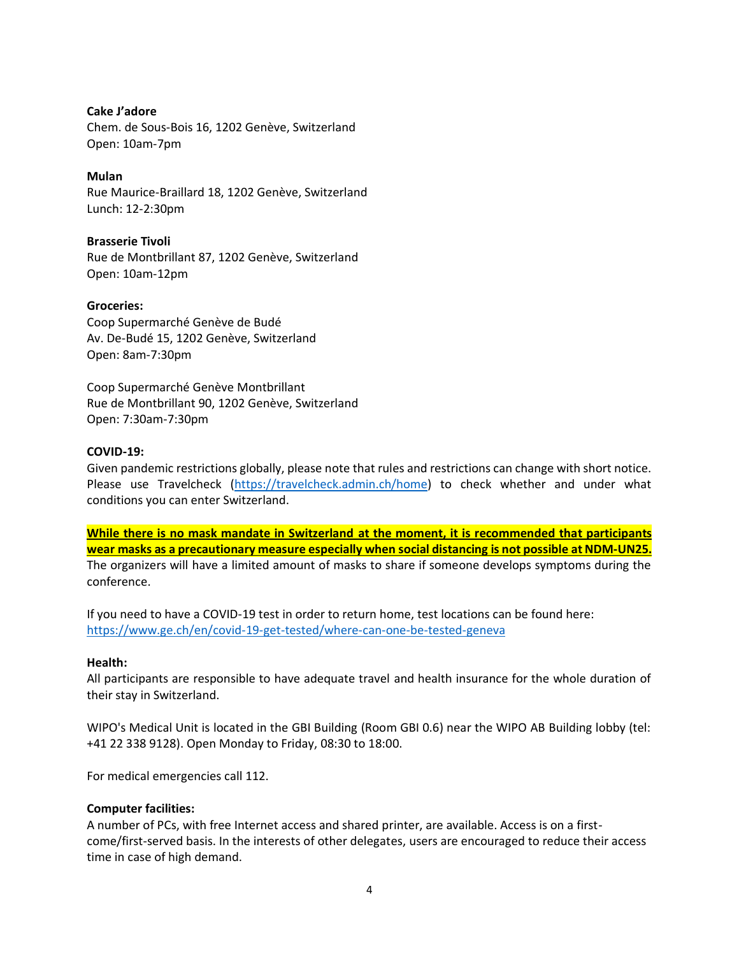### **Cake J'adore**

Chem. de Sous-Bois 16, 1202 Genève, Switzerland Open: 10am-7pm

### **Mulan**

Rue Maurice-Braillard 18, 1202 Genève, Switzerland Lunch: 12-2:30pm

### **Brasserie Tivoli**

Rue de Montbrillant 87, 1202 Genève, Switzerland Open: 10am-12pm

### **Groceries:**

Coop Supermarché Genève de Budé Av. De-Budé 15, 1202 Genève, Switzerland Open: 8am-7:30pm

Coop Supermarché Genève Montbrillant Rue de Montbrillant 90, 1202 Genève, Switzerland Open: 7:30am-7:30pm

### **COVID-19:**

Given pandemic restrictions globally, please note that rules and restrictions can change with short notice. Please use Travelcheck [\(https://travelcheck.admin.ch/home\)](https://travelcheck.admin.ch/home) to check whether and under what conditions you can enter Switzerland.

**While there is no mask mandate in Switzerland at the moment, it is recommended that participants wear masks as a precautionary measure especially when social distancing is not possible at NDM-UN25.** The organizers will have a limited amount of masks to share if someone develops symptoms during the conference.

If you need to have a COVID-19 test in order to return home, test locations can be found here: <https://www.ge.ch/en/covid-19-get-tested/where-can-one-be-tested-geneva>

### **Health:**

All participants are responsible to have adequate travel and health insurance for the whole duration of their stay in Switzerland.

WIPO's Medical Unit is located in the GBI Building (Room GBI 0.6) near the WIPO AB Building lobby (tel: +41 22 338 9128). Open Monday to Friday, 08:30 to 18:00.

For medical emergencies call 112.

### **Computer facilities:**

A number of PCs, with free Internet access and shared printer, are available. Access is on a firstcome/first-served basis. In the interests of other delegates, users are encouraged to reduce their access time in case of high demand.